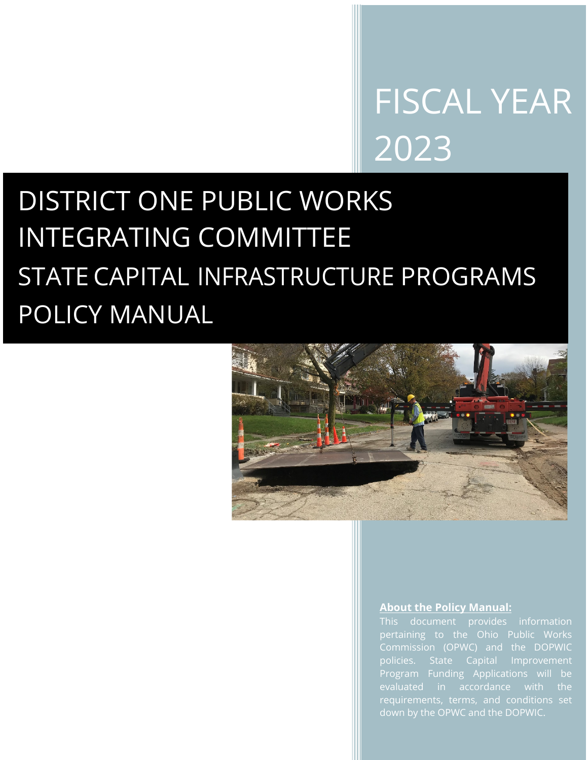# FISCAL YEAR 2023

# DISTRICT ONE PUBLIC WORKS INTEGRATING COMMITTEE STATE CAPITAL INFRASTRUCTURE PROGRAMS POLICY MANUAL



#### **About the Policy Manual:**

This document provides information pertaining to the Ohio Public Works policies. State Capital Improvement Program Funding Applications will be evaluated in accordance with the requirements, terms, and conditions set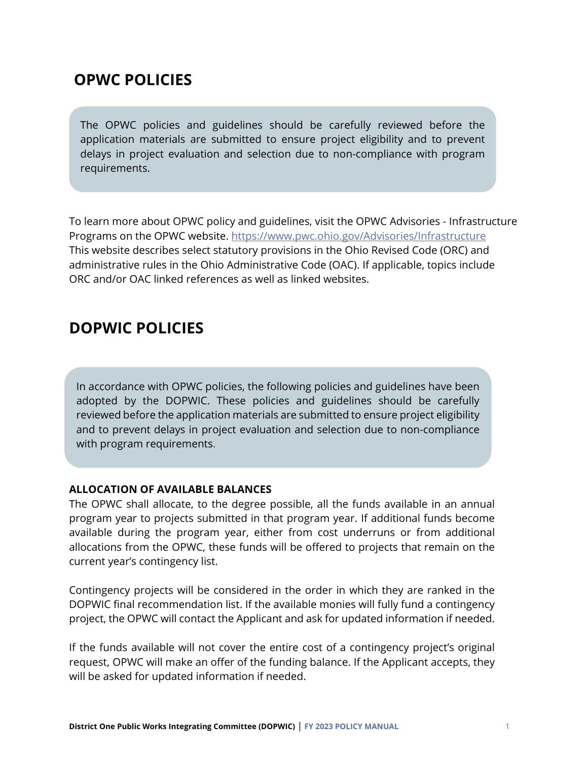## **OPWC POLICIES**

The OPWC policies and guidelines should be carefully reviewed before the application materials are submitted to ensure project eligibility and to prevent delays in project evaluation and selection due to non-compliance with program requirements.

To learn more about OPWC policy and guidelines, visit the OPWC Advisories - Infrastructure Programs on the OPWC website.<https://www.pwc.ohio.gov/Advisories/Infrastructure> This website describes select statutory provisions in the Ohio Revised Code (ORC) and administrative rules in the Ohio Administrative Code (OAC). If applicable, topics include ORC and/or OAC linked references as well as linked websites.

### **DOPWIC POLICIES**

In accordance with OPWC policies, the following policies and guidelines have been adopted by the DOPWIC. These policies and guidelines should be carefully reviewed before the application materials are submitted to ensure project eligibility and to prevent delays in project evaluation and selection due to non-compliance with program requirements.

#### **ALLOCATION OF AVAILABLE BALANCES**

The OPWC shall allocate, to the degree possible, all the funds available in an annual program year to projects submitted in that program year. If additional funds become available during the program year, either from cost underruns or from additional allocations from the OPWC, these funds will be offered to projects that remain on the current year's contingency list.

Contingency projects will be considered in the order in which they are ranked in the DOPWIC final recommendation list. If the available monies will fully fund a contingency project, the OPWC will contact the Applicant and ask for updated information if needed.

If the funds available will not cover the entire cost of a contingency project's original request, OPWC will make an offer of the funding balance. If the Applicant accepts, they will be asked for updated information if needed.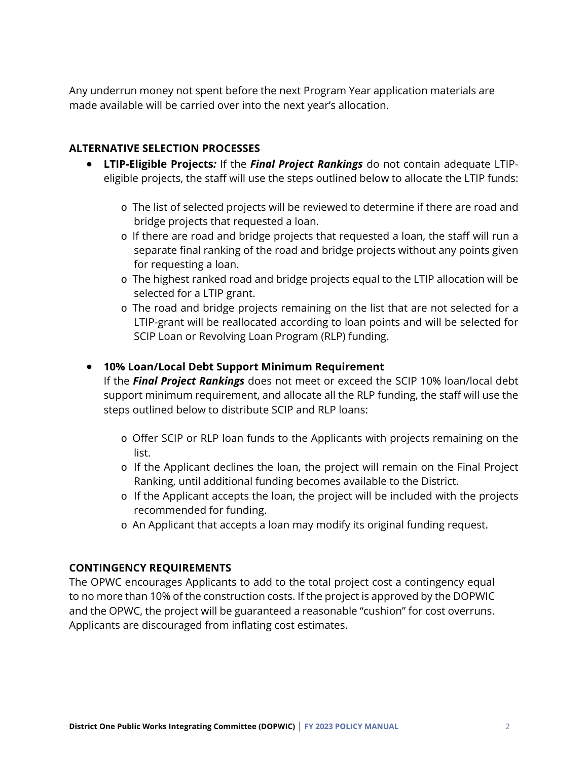Any underrun money not spent before the next Program Year application materials are made available will be carried over into the next year's allocation.

#### **ALTERNATIVE SELECTION PROCESSES**

- **LTIP-Eligible Projects***:* If the *Final Project Rankings* do not contain adequate LTIPeligible projects, the staff will use the steps outlined below to allocate the LTIP funds:
	- o The list of selected projects will be reviewed to determine if there are road and bridge projects that requested a loan.
	- o If there are road and bridge projects that requested a loan, the staff will run a separate final ranking of the road and bridge projects without any points given for requesting a loan.
	- o The highest ranked road and bridge projects equal to the LTIP allocation will be selected for a LTIP grant.
	- o The road and bridge projects remaining on the list that are not selected for a LTIP-grant will be reallocated according to loan points and will be selected for SCIP Loan or Revolving Loan Program (RLP) funding.

#### • **10% Loan/Local Debt Support Minimum Requirement**

If the *Final Project Rankings* does not meet or exceed the SCIP 10% loan/local debt support minimum requirement, and allocate all the RLP funding, the staff will use the steps outlined below to distribute SCIP and RLP loans:

- o Offer SCIP or RLP loan funds to the Applicants with projects remaining on the list.
- o If the Applicant declines the loan, the project will remain on the Final Project Ranking, until additional funding becomes available to the District.
- o If the Applicant accepts the loan, the project will be included with the projects recommended for funding.
- o An Applicant that accepts a loan may modify its original funding request.

#### **CONTINGENCY REQUIREMENTS**

The OPWC encourages Applicants to add to the total project cost a contingency equal to no more than 10% of the construction costs. If the project is approved by the DOPWIC and the OPWC, the project will be guaranteed a reasonable "cushion" for cost overruns. Applicants are discouraged from inflating cost estimates.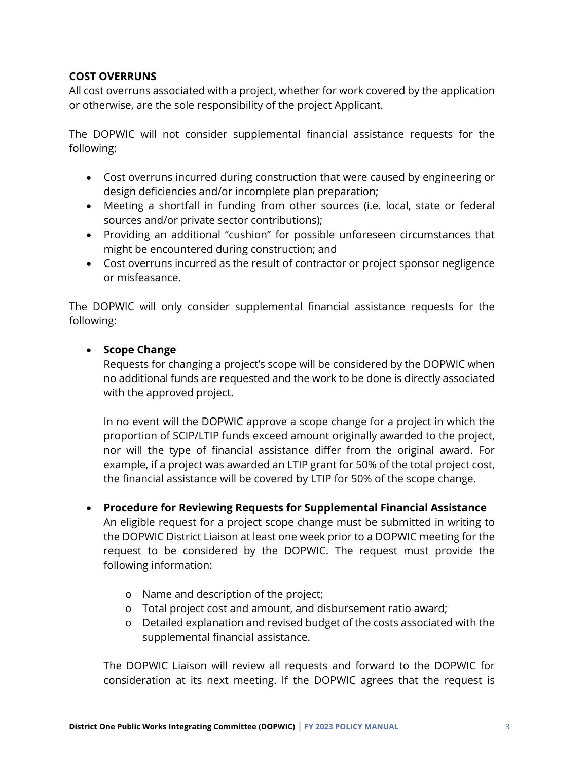#### **COST OVERRUNS**

All cost overruns associated with a project, whether for work covered by the application or otherwise, are the sole responsibility of the project Applicant.

The DOPWIC will not consider supplemental financial assistance requests for the following:

- Cost overruns incurred during construction that were caused by engineering or design deficiencies and/or incomplete plan preparation;
- Meeting a shortfall in funding from other sources (i.e. local, state or federal sources and/or private sector contributions);
- Providing an additional "cushion" for possible unforeseen circumstances that might be encountered during construction; and
- Cost overruns incurred as the result of contractor or project sponsor negligence or misfeasance.

The DOPWIC will only consider supplemental financial assistance requests for the following:

#### • **Scope Change**

Requests for changing a project's scope will be considered by the DOPWIC when no additional funds are requested and the work to be done is directly associated with the approved project.

In no event will the DOPWIC approve a scope change for a project in which the proportion of SCIP/LTIP funds exceed amount originally awarded to the project, nor will the type of financial assistance differ from the original award. For example, if a project was awarded an LTIP grant for 50% of the total project cost, the financial assistance will be covered by LTIP for 50% of the scope change.

• **Procedure for Reviewing Requests for Supplemental Financial Assistance** An eligible request for a project scope change must be submitted in writing to

the DOPWIC District Liaison at least one week prior to a DOPWIC meeting for the request to be considered by the DOPWIC. The request must provide the following information:

- o Name and description of the project;
- o Total project cost and amount, and disbursement ratio award;
- o Detailed explanation and revised budget of the costs associated with the supplemental financial assistance.

The DOPWIC Liaison will review all requests and forward to the DOPWIC for consideration at its next meeting. If the DOPWIC agrees that the request is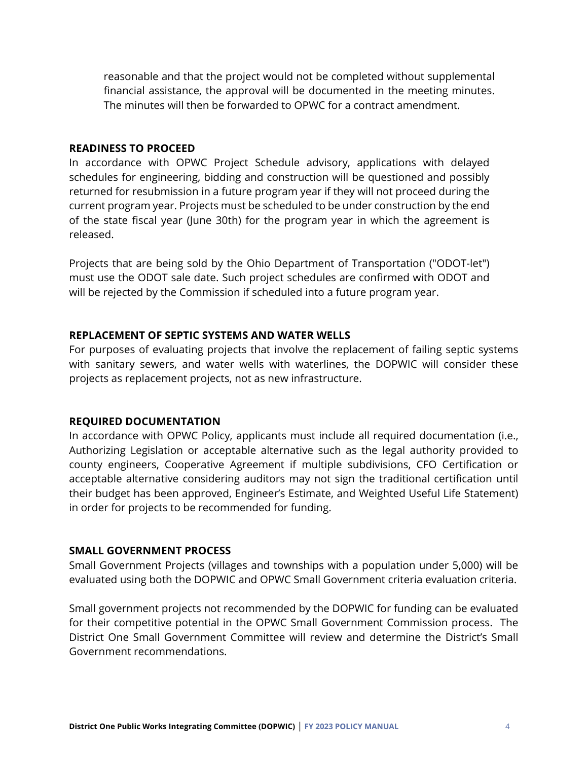reasonable and that the project would not be completed without supplemental financial assistance, the approval will be documented in the meeting minutes. The minutes will then be forwarded to OPWC for a contract amendment.

#### **READINESS TO PROCEED**

In accordance with OPWC Project Schedule advisory, applications with delayed schedules for engineering, bidding and construction will be questioned and possibly returned for resubmission in a future program year if they will not proceed during the current program year. Projects must be scheduled to be under construction by the end of the state fiscal year (June 30th) for the program year in which the agreement is released.

Projects that are being sold by the Ohio Department of Transportation ("ODOT-let") must use the ODOT sale date. Such project schedules are confirmed with ODOT and will be rejected by the Commission if scheduled into a future program year.

#### **REPLACEMENT OF SEPTIC SYSTEMS AND WATER WELLS**

For purposes of evaluating projects that involve the replacement of failing septic systems with sanitary sewers, and water wells with waterlines, the DOPWIC will consider these projects as replacement projects, not as new infrastructure.

#### **REQUIRED DOCUMENTATION**

In accordance with OPWC Policy, applicants must include all required documentation (i.e., Authorizing Legislation or acceptable alternative such as the legal authority provided to county engineers, Cooperative Agreement if multiple subdivisions, CFO Certification or acceptable alternative considering auditors may not sign the traditional certification until their budget has been approved, Engineer's Estimate, and Weighted Useful Life Statement) in order for projects to be recommended for funding.

#### **SMALL GOVERNMENT PROCESS**

Small Government Projects (villages and townships with a population under 5,000) will be evaluated using both the DOPWIC and OPWC Small Government criteria evaluation criteria.

Small government projects not recommended by the DOPWIC for funding can be evaluated for their competitive potential in the OPWC Small Government Commission process. The District One Small Government Committee will review and determine the District's Small Government recommendations.